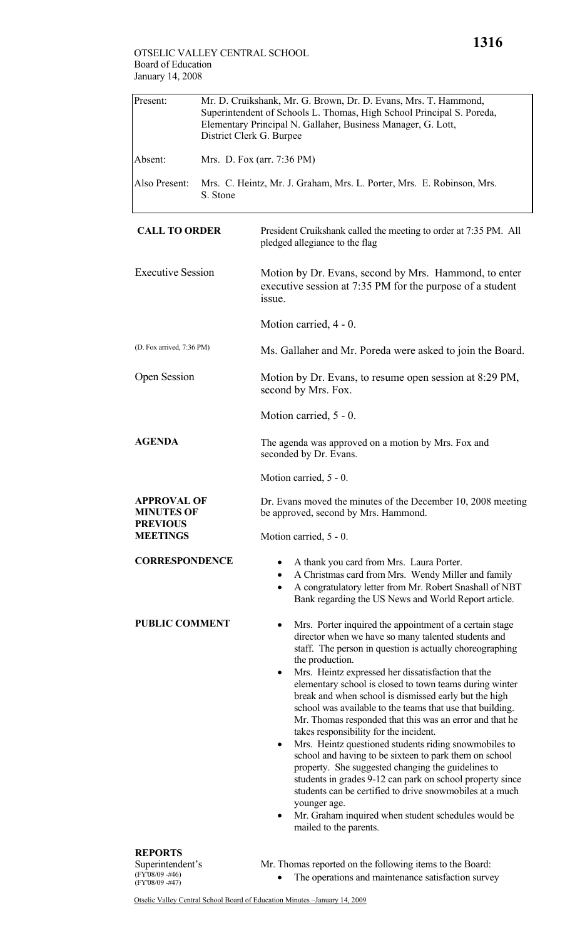## OTSELIC VALLEY CENTRAL SCHOOL Board of Education January 14, 2008

| Present:                                | Mr. D. Cruikshank, Mr. G. Brown, Dr. D. Evans, Mrs. T. Hammond,<br>Superintendent of Schools L. Thomas, High School Principal S. Poreda,<br>Elementary Principal N. Gallaher, Business Manager, G. Lott,<br>District Clerk G. Burpee |                                                                                                                                                                                                                                                                                                                                                                                                                                                                                                                                                                                                                                                                                                                                                                                                                                                                                                                                                                     |  |
|-----------------------------------------|--------------------------------------------------------------------------------------------------------------------------------------------------------------------------------------------------------------------------------------|---------------------------------------------------------------------------------------------------------------------------------------------------------------------------------------------------------------------------------------------------------------------------------------------------------------------------------------------------------------------------------------------------------------------------------------------------------------------------------------------------------------------------------------------------------------------------------------------------------------------------------------------------------------------------------------------------------------------------------------------------------------------------------------------------------------------------------------------------------------------------------------------------------------------------------------------------------------------|--|
| Absent:                                 |                                                                                                                                                                                                                                      | Mrs. D. Fox (arr. 7:36 PM)                                                                                                                                                                                                                                                                                                                                                                                                                                                                                                                                                                                                                                                                                                                                                                                                                                                                                                                                          |  |
| Also Present:                           | S. Stone                                                                                                                                                                                                                             | Mrs. C. Heintz, Mr. J. Graham, Mrs. L. Porter, Mrs. E. Robinson, Mrs.                                                                                                                                                                                                                                                                                                                                                                                                                                                                                                                                                                                                                                                                                                                                                                                                                                                                                               |  |
| <b>CALL TO ORDER</b>                    |                                                                                                                                                                                                                                      | President Cruikshank called the meeting to order at 7:35 PM. All<br>pledged allegiance to the flag                                                                                                                                                                                                                                                                                                                                                                                                                                                                                                                                                                                                                                                                                                                                                                                                                                                                  |  |
| <b>Executive Session</b>                |                                                                                                                                                                                                                                      | Motion by Dr. Evans, second by Mrs. Hammond, to enter<br>executive session at 7:35 PM for the purpose of a student<br>issue.                                                                                                                                                                                                                                                                                                                                                                                                                                                                                                                                                                                                                                                                                                                                                                                                                                        |  |
|                                         |                                                                                                                                                                                                                                      | Motion carried, 4 - 0.                                                                                                                                                                                                                                                                                                                                                                                                                                                                                                                                                                                                                                                                                                                                                                                                                                                                                                                                              |  |
| (D. Fox arrived, 7:36 PM)               |                                                                                                                                                                                                                                      | Ms. Gallaher and Mr. Poreda were asked to join the Board.                                                                                                                                                                                                                                                                                                                                                                                                                                                                                                                                                                                                                                                                                                                                                                                                                                                                                                           |  |
| <b>Open Session</b>                     |                                                                                                                                                                                                                                      | Motion by Dr. Evans, to resume open session at 8:29 PM,<br>second by Mrs. Fox.                                                                                                                                                                                                                                                                                                                                                                                                                                                                                                                                                                                                                                                                                                                                                                                                                                                                                      |  |
|                                         |                                                                                                                                                                                                                                      | Motion carried, 5 - 0.                                                                                                                                                                                                                                                                                                                                                                                                                                                                                                                                                                                                                                                                                                                                                                                                                                                                                                                                              |  |
| <b>AGENDA</b>                           |                                                                                                                                                                                                                                      | The agenda was approved on a motion by Mrs. Fox and<br>seconded by Dr. Evans.                                                                                                                                                                                                                                                                                                                                                                                                                                                                                                                                                                                                                                                                                                                                                                                                                                                                                       |  |
|                                         |                                                                                                                                                                                                                                      | Motion carried, 5 - 0.                                                                                                                                                                                                                                                                                                                                                                                                                                                                                                                                                                                                                                                                                                                                                                                                                                                                                                                                              |  |
| <b>APPROVAL OF</b><br><b>MINUTES OF</b> |                                                                                                                                                                                                                                      | Dr. Evans moved the minutes of the December 10, 2008 meeting<br>be approved, second by Mrs. Hammond.                                                                                                                                                                                                                                                                                                                                                                                                                                                                                                                                                                                                                                                                                                                                                                                                                                                                |  |
| <b>PREVIOUS</b><br><b>MEETINGS</b>      |                                                                                                                                                                                                                                      | Motion carried, 5 - 0.                                                                                                                                                                                                                                                                                                                                                                                                                                                                                                                                                                                                                                                                                                                                                                                                                                                                                                                                              |  |
| <b>CORRESPONDENCE</b>                   |                                                                                                                                                                                                                                      | A thank you card from Mrs. Laura Porter.<br>A Christmas card from Mrs. Wendy Miller and family<br>A congratulatory letter from Mr. Robert Snashall of NBT<br>$\bullet$<br>Bank regarding the US News and World Report article.                                                                                                                                                                                                                                                                                                                                                                                                                                                                                                                                                                                                                                                                                                                                      |  |
| <b>PUBLIC COMMENT</b>                   |                                                                                                                                                                                                                                      | Mrs. Porter inquired the appointment of a certain stage<br>٠<br>director when we have so many talented students and<br>staff. The person in question is actually choreographing<br>the production.<br>Mrs. Heintz expressed her dissatisfaction that the<br>٠<br>elementary school is closed to town teams during winter<br>break and when school is dismissed early but the high<br>school was available to the teams that use that building.<br>Mr. Thomas responded that this was an error and that he<br>takes responsibility for the incident.<br>Mrs. Heintz questioned students riding snowmobiles to<br>$\bullet$<br>school and having to be sixteen to park them on school<br>property. She suggested changing the guidelines to<br>students in grades 9-12 can park on school property since<br>students can be certified to drive snowmobiles at a much<br>younger age.<br>Mr. Graham inquired when student schedules would be<br>mailed to the parents. |  |
| <b>REPORTS</b>                          |                                                                                                                                                                                                                                      |                                                                                                                                                                                                                                                                                                                                                                                                                                                                                                                                                                                                                                                                                                                                                                                                                                                                                                                                                                     |  |

Superintendent's (FY'08/09 -#46) (FY'08/09 -#47)

- Mr. Thomas reported on the following items to the Board:
	- The operations and maintenance satisfaction survey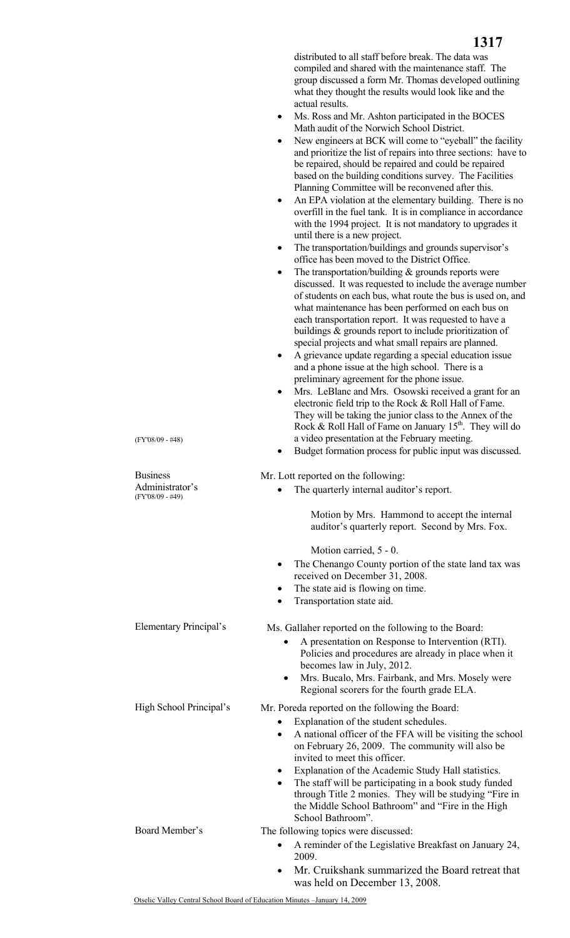distributed to all staff before break. The data was compiled and shared with the maintenance staff. The group discussed a form Mr. Thomas developed outlining what they thought the results would look like and the actual results.

- Ms. Ross and Mr. Ashton participated in the BOCES Math audit of the Norwich School District.
- New engineers at BCK will come to "eyeball" the facility and prioritize the list of repairs into three sections: have to be repaired, should be repaired and could be repaired based on the building conditions survey. The Facilities Planning Committee will be reconvened after this.
- An EPA violation at the elementary building. There is no overfill in the fuel tank. It is in compliance in accordance with the 1994 project. It is not mandatory to upgrades it until there is a new project.
- The transportation/buildings and grounds supervisor's office has been moved to the District Office.
- The transportation/building  $&$  grounds reports were discussed. It was requested to include the average number of students on each bus, what route the bus is used on, and what maintenance has been performed on each bus on each transportation report. It was requested to have a buildings & grounds report to include prioritization of special projects and what small repairs are planned.
- A grievance update regarding a special education issue and a phone issue at the high school. There is a preliminary agreement for the phone issue.
- Mrs. LeBlanc and Mrs. Osowski received a grant for an electronic field trip to the Rock & Roll Hall of Fame. They will be taking the junior class to the Annex of the Rock & Roll Hall of Fame on January  $15<sup>th</sup>$ . They will do a video presentation at the February meeting.
- Budget formation process for public input was discussed.

Mr. Lott reported on the following:

- The quarterly internal auditor's report.
	- Motion by Mrs. Hammond to accept the internal auditor's quarterly report. Second by Mrs. Fox.

Motion carried, 5 - 0.

- The Chenango County portion of the state land tax was received on December 31, 2008.
- The state aid is flowing on time.
- Transportation state aid.

Ms. Gallaher reported on the following to the Board:

- A presentation on Response to Intervention (RTI). Policies and procedures are already in place when it becomes law in July, 2012.
- Mrs. Bucalo, Mrs. Fairbank, and Mrs. Mosely were Regional scorers for the fourth grade ELA.

High School Principal's Mr. Poreda reported on the following the Board:

- Explanation of the student schedules.
- A national officer of the FFA will be visiting the school on February 26, 2009. The community will also be invited to meet this officer.
- Explanation of the Academic Study Hall statistics.
- The staff will be participating in a book study funded through Title 2 monies. They will be studying "Fire in the Middle School Bathroom" and "Fire in the High School Bathroom".

Board Member's The following topics were discussed:

- A reminder of the Legislative Breakfast on January 24, 2009.
- Mr. Cruikshank summarized the Board retreat that was held on December 13, 2008.

(FY'08/09 - #48)

## **Business**

Administrator's (FY'08/09 - #49)

Elementary Principal's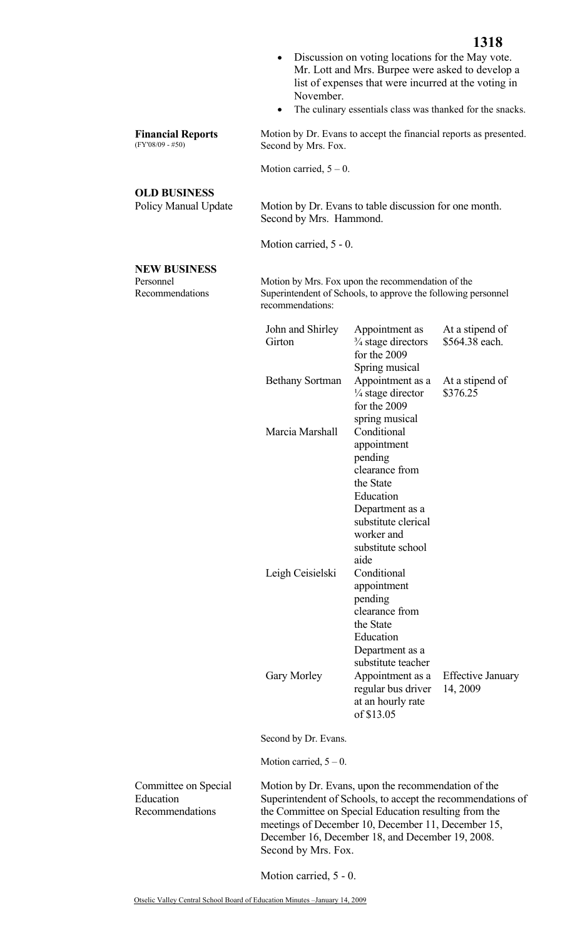- Discussion on voting locations for the May vote. Mr. Lott and Mrs. Burpee were asked to develop a list of expenses that were incurred at the voting in November.
- The culinary essentials class was thanked for the snacks.

**Financial Reports**  Motion by Dr. Evans to accept the financial reports as presented. Second by Mrs. Fox.

Motion carried,  $5 - 0$ .

## **OLD BUSINESS**

(FY'08/09 - #50)

Policy Manual Update Motion by Dr. Evans to table discussion for one month. Second by Mrs. Hammond.

Motion carried, 5 - 0.

## **NEW BUSINESS**

Personnel Recommendations  Motion by Mrs. Fox upon the recommendation of the Superintendent of Schools, to approve the following personnel recommendations:

| John and Shirley<br>Girton | Appointment as<br>$\frac{3}{4}$ stage directors<br>for the 2009<br>Spring musical                                                                                      | At a stipend of<br>\$564.38 each.    |
|----------------------------|------------------------------------------------------------------------------------------------------------------------------------------------------------------------|--------------------------------------|
| <b>Bethany Sortman</b>     | Appointment as a<br>1/4 stage director<br>for the 2009<br>spring musical                                                                                               | At a stipend of<br>\$376.25          |
| Marcia Marshall            | Conditional<br>appointment<br>pending<br>clearance from<br>the State<br>Education<br>Department as a<br>substitute clerical<br>worker and<br>substitute school<br>aide |                                      |
| Leigh Ceisielski           | Conditional<br>appointment<br>pending<br>clearance from<br>the State<br>Education<br>Department as a<br>substitute teacher                                             |                                      |
| Gary Morley                | Appointment as a<br>regular bus driver<br>at an hourly rate<br>of \$13.05                                                                                              | <b>Effective January</b><br>14, 2009 |

Second by Dr. Evans.

Motion carried,  $5 - 0$ .

| Committee on Special | Motion by Dr. Evans, upon the recommendation of the         |
|----------------------|-------------------------------------------------------------|
| Education            | Superintendent of Schools, to accept the recommendations of |
| Recommendations      | the Committee on Special Education resulting from the       |
|                      | meetings of December 10, December 11, December 15,          |
|                      | December 16, December 18, and December 19, 2008.            |
|                      | Second by Mrs. Fox.                                         |

Motion carried, 5 - 0.